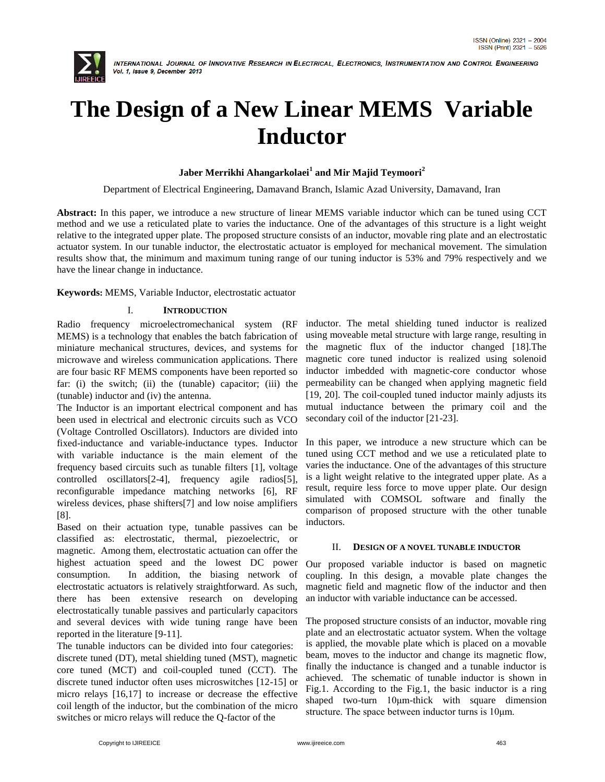

# **The Design of a New Linear MEMS Variable Inductor**

## **Jaber Merrikhi Ahangarkolaei<sup>1</sup> and Mir Majid Teymoori<sup>2</sup>**

Department of Electrical Engineering, Damavand Branch, Islamic Azad University, Damavand, Iran

**Abstract:** In this paper, we introduce a new structure of linear MEMS variable inductor which can be tuned using CCT method and we use a reticulated plate to varies the inductance. One of the advantages of this structure is a light weight relative to the integrated upper plate. The proposed structure consists of an inductor, movable ring plate and an electrostatic actuator system. In our tunable inductor, the electrostatic actuator is employed for mechanical movement. The simulation results show that, the minimum and maximum tuning range of our tuning inductor is 53% and 79% respectively and we have the linear change in inductance.

**Keywords:** MEMS, Variable Inductor, electrostatic actuator

## I. **INTRODUCTION**

Radio frequency microelectromechanical system (RF MEMS) is a technology that enables the batch fabrication of miniature mechanical structures, devices, and systems for microwave and wireless communication applications. There are four basic RF MEMS components have been reported so far: (i) the switch; (ii) the (tunable) capacitor; (iii) the (tunable) inductor and (iv) the antenna.

The Inductor is an important electrical component and has been used in electrical and electronic circuits such as VCO (Voltage Controlled Oscillators). Inductors are divided into fixed-inductance and variable-inductance types. Inductor with variable inductance is the main element of the frequency based circuits such as tunable filters [1], voltage controlled oscillators[2-4], frequency agile radios[5], reconfigurable impedance matching networks [6], RF wireless devices, phase shifters[7] and low noise amplifiers [8].

Based on their actuation type, tunable passives can be classified as: electrostatic, thermal, piezoelectric, or magnetic. Among them, electrostatic actuation can offer the highest actuation speed and the lowest DC power consumption. In addition, the biasing network of electrostatic actuators is relatively straightforward. As such, there has been extensive research on developing electrostatically tunable passives and particularly capacitors and several devices with wide tuning range have been reported in the literature [9-11].

The tunable inductors can be divided into four categories: discrete tuned (DT), metal shielding tuned (MST), magnetic core tuned (MCT) and coil-coupled tuned (CCT). The discrete tuned inductor often uses microswitches [12-15] or micro relays [16,17] to increase or decrease the effective coil length of the inductor, but the combination of the micro switches or micro relays will reduce the Q-factor of the

inductor. The metal shielding tuned inductor is realized using moveable metal structure with large range, resulting in the magnetic flux of the inductor changed [18].The magnetic core tuned inductor is realized using solenoid inductor imbedded with magnetic-core conductor whose permeability can be changed when applying magnetic field [19, 20]. The coil-coupled tuned inductor mainly adjusts its mutual inductance between the primary coil and the secondary coil of the inductor [21-23].

In this paper, we introduce a new structure which can be tuned using CCT method and we use a reticulated plate to varies the inductance. One of the advantages of this structure is a light weight relative to the integrated upper plate. As a result, require less force to move upper plate. Our design simulated with COMSOL software and finally the comparison of proposed structure with the other tunable inductors.

#### II. **DESIGN OF A NOVEL TUNABLE INDUCTOR**

Our proposed variable inductor is based on magnetic coupling. In this design, a movable plate changes the magnetic field and magnetic flow of the inductor and then an inductor with variable inductance can be accessed.

The proposed structure consists of an inductor, movable ring plate and an electrostatic actuator system. When the voltage is applied, the movable plate which is placed on a movable beam, moves to the inductor and change its magnetic flow, finally the inductance is changed and a tunable inductor is achieved. The schematic of tunable inductor is shown in Fig.1. According to the Fig.1, the basic inductor is a ring shaped two-turn 10μm-thick with square dimension structure. The space between inductor turns is 10μm.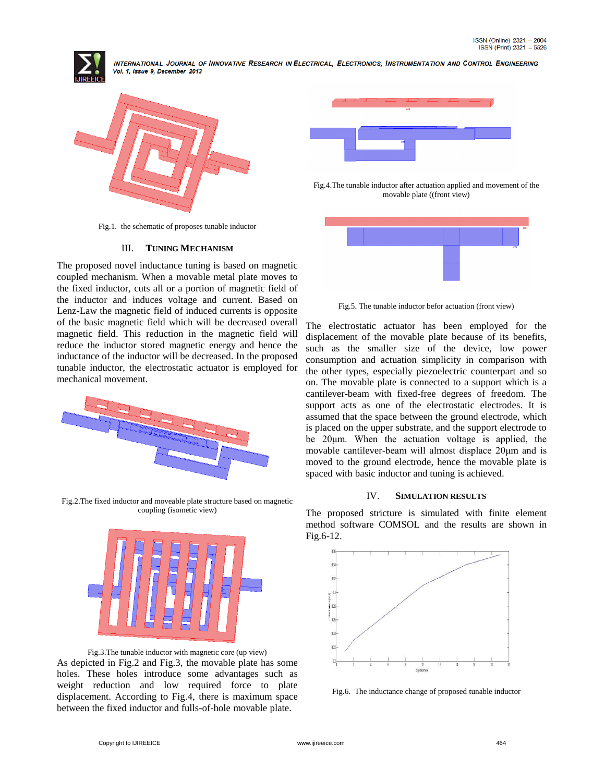



Fig.1. the schematic of proposes tunable inductor

## III. **TUNING MECHANISM**

The proposed novel inductance tuning is based on magnetic coupled mechanism. When a movable metal plate moves to the fixed inductor, cuts all or a portion of magnetic field of the inductor and induces voltage and current. Based on Lenz-Law the magnetic field of induced currents is opposite of the basic magnetic field which will be decreased overall magnetic field. This reduction in the magnetic field will reduce the inductor stored magnetic energy and hence the inductance of the inductor will be decreased. In the proposed tunable inductor, the electrostatic actuator is employed for mechanical movement.



Fig.2.The fixed inductor and moveable plate structure based on magnetic coupling (isometic view)



Fig.3.The tunable inductor with magnetic core (up view) As depicted in Fig.2 and Fig.3, the movable plate has some holes. These holes introduce some advantages such as weight reduction and low required force to plate displacement. According to Fig.4, there is maximum space between the fixed inductor and fulls-of-hole movable plate.



Fig.4.The tunable inductor after actuation applied and movement of the movable plate ((front view)



Fig.5. The tunable inductor befor actuation (front view)

The electrostatic actuator has been employed for the displacement of the movable plate because of its benefits, such as the smaller size of the device, low power consumption and actuation simplicity in comparison with the other types, especially piezoelectric counterpart and so on. The movable plate is connected to a support which is a cantilever-beam with fixed-free degrees of freedom. The support acts as one of the electrostatic electrodes. It is assumed that the space between the ground electrode, which is placed on the upper substrate, and the support electrode to be 20μm. When the actuation voltage is applied, the movable cantilever-beam will almost displace 20μm and is moved to the ground electrode, hence the movable plate is spaced with basic inductor and tuning is achieved.

#### IV. **SIMULATION RESULTS**

The proposed stricture is simulated with finite element method software COMSOL and the results are shown in Fig.6-12.



Fig.6. The inductance change of proposed tunable inductor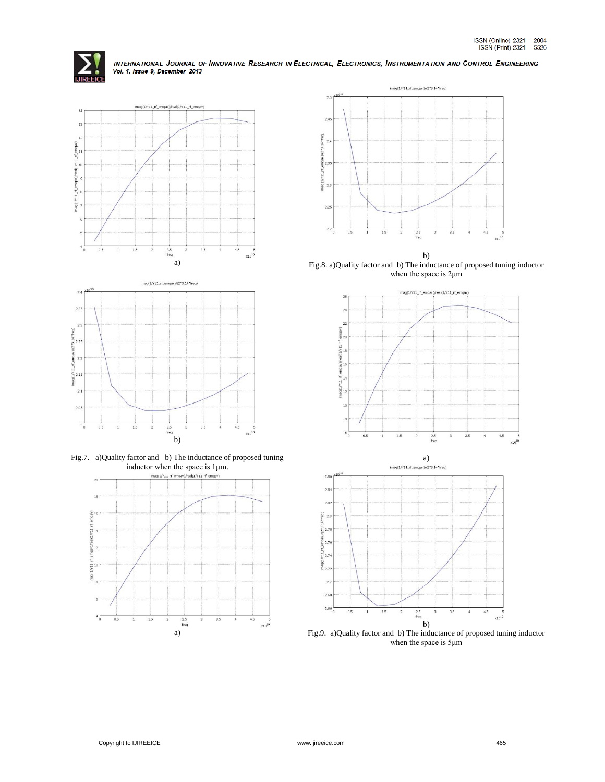





Fig.7. a)Quality factor and b) The inductance of proposed tuning inductor when the space is 1μm.





b) Fig.8. a)Quality factor and b) The inductance of proposed tuning inductor when the space is 2μm



Fig.9. a)Quality factor and b) The inductance of proposed tuning inductor when the space is 5μm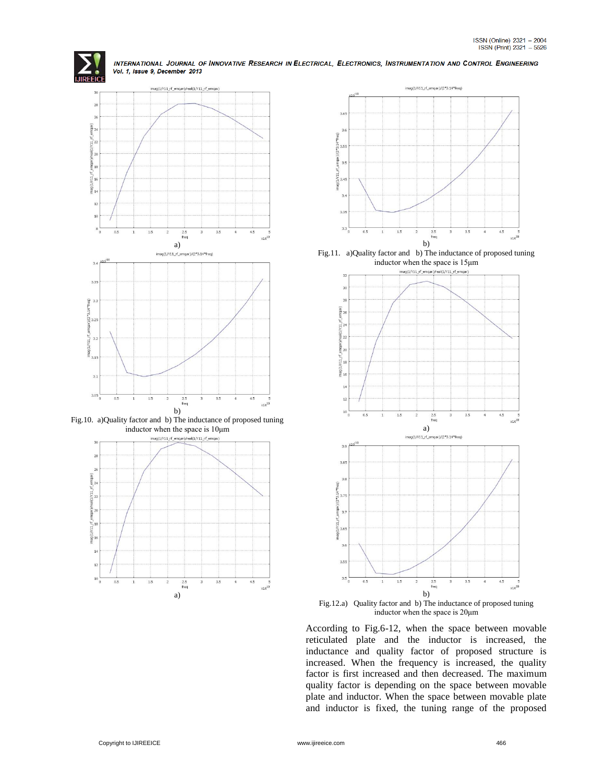



Fig.10. a)Quality factor and b) The inductance of proposed tuning inductor when the space is 10μm





Fig.11. a)Quality factor and b) The inductance of proposed tuning inductor when the space is 15μm



Fig.12.a) Quality factor and b) The inductance of proposed tuning inductor when the space is 20μm

According to Fig.6-12, when the space between movable reticulated plate and the inductor is increased, the inductance and quality factor of proposed structure is increased. When the frequency is increased, the quality factor is first increased and then decreased. The maximum quality factor is depending on the space between movable plate and inductor. When the space between movable plate and inductor is fixed, the tuning range of the proposed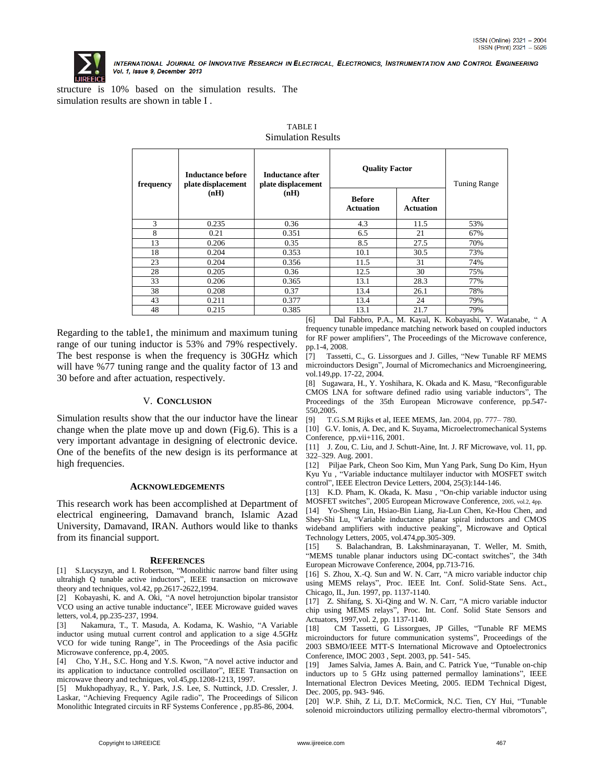

structure is 10% based on the simulation results. The simulation results are shown in table I .

| Inductance before<br>plate displacement<br>(nH) | Inductance after<br>plate displacement<br>(nH) | <b>Quality Factor</b>             |                           | Tuning Range                                                  |
|-------------------------------------------------|------------------------------------------------|-----------------------------------|---------------------------|---------------------------------------------------------------|
|                                                 |                                                | <b>Before</b><br><b>Actuation</b> | After<br><b>Actuation</b> |                                                               |
| 0.235                                           | 0.36                                           | 4.3                               | 11.5                      | 53%                                                           |
| 0.21                                            | 0.351                                          | 6.5                               | 21                        | 67%                                                           |
| 0.206                                           | 0.35                                           | 8.5                               | 27.5                      | 70%                                                           |
| 0.204                                           | 0.353                                          | 10.1                              | 30.5                      | 73%                                                           |
| 0.204                                           | 0.356                                          | 11.5                              | 31                        | 74%                                                           |
| 0.205                                           | 0.36                                           | 12.5                              | 30                        | 75%                                                           |
| 0.206                                           | 0.365                                          | 13.1                              | 28.3                      | 77%                                                           |
| 0.208                                           | 0.37                                           | 13.4                              | 26.1                      | 78%                                                           |
| 0.211                                           | 0.377                                          | 13.4                              | 24                        | 79%                                                           |
| 0.215                                           | 0.385                                          | 13.1                              | 21.7                      | 79%                                                           |
|                                                 |                                                | $F \times T$                      | $P_1$ $P_2$ $P_3$         | $P_A = M I^T$ $I^T$ $I^T$ $I^T$ $I^T$ $I^T$ $I^T$ $I^T$ $I^T$ |

#### TABLE I Simulation Results

Regarding to the table1, the minimum and maximum tuning range of our tuning inductor is 53% and 79% respectively. The best response is when the frequency is 30GHz which will have %77 tuning range and the quality factor of 13 and 30 before and after actuation, respectively.

## V. **CONCLUSION**

Simulation results show that the our inductor have the linear change when the plate move up and down (Fig.6). This is a very important advantage in designing of electronic device. One of the benefits of the new design is its performance at high frequencies.

#### **ACKNOWLEDGEMENTS**

This research work has been accomplished at Department of electrical engineering, Damavand branch, Islamic Azad University, Damavand, IRAN. Authors would like to thanks from its financial support.

#### **REFERENCES**

[1] S.Lucyszyn, and I. Robertson, "Monolithic narrow band filter using ultrahigh Q tunable active inductors", IEEE transaction on microwave theory and techniques, vol.42, pp.2617-2622,1994.

[2] Kobayashi, K. and A. Oki, "A novel hetrojunction bipolar transistor VCO using an active tunable inductance", IEEE Microwave guided waves letters, vol.4, pp.235-237, 1994.

[3] Nakamura, T., T. Masuda, A. Kodama, K. Washio, "A Variable inductor using mutual current control and application to a sige 4.5GHz VCO for wide tuning Range", in The Proceedings of the Asia pacific Microwave conference, pp.4, 2005.

[4] Cho, Y.H., S.C. Hong and Y.S. Kwon, "A novel active inductor and its application to inductance controlled oscillator", IEEE Transaction on microwave theory and techniques, vol.45,pp.1208-1213, 1997.

[5] Mukhopadhyay, R., Y. Park, J.S. Lee, S. Nuttinck, J.D. Cressler, J. Laskar, "Achieving Frequency Agile radio", The Proceedings of Silicon Monolithic Integrated circuits in RF Systems Conference , pp.85-86, 2004.

[6] Dal Fabbro, P.A., M. Kayal, K. Kobayashi, Y. Watanabe, " A frequency tunable impedance matching network based on coupled inductors for RF power amplifiers", The Proceedings of the Microwave conference, pp.1-4, 2008.

[7] Tassetti, C., G. Lissorgues and J. Gilles, "New Tunable RF MEMS microinductors Design", Journal of Micromechanics and Microengineering, vol.149,pp. 17-22, 2004.

[8] Sugawara, H., Y. Yoshihara, K. Okada and K. Masu, "Reconfigurable CMOS LNA for software defined radio using variable inductors", The Proceedings of the 35th European Microwave conference, pp.547- 550,2005.

[9] T.G.S.M Rijks et al, IEEE MEMS, Jan. 2004, pp. 777– 780.

[10] G.V. Ionis, A. Dec, and K. Suyama, Microelectromechanical Systems Conference, pp.vii+116, 2001.

[11] J. Zou, C. Liu, and J. Schutt-Aine, Int. J. RF Microwave, vol. 11, pp. 322–329. Aug. 2001.

[12] Piljae Park, Cheon Soo Kim, Mun Yang Park, Sung Do Kim, Hyun Kyu Yu , "Variable inductance multilayer inductor with MOSFET switch control", IEEE Electron Device Letters, 2004, 25(3):144-146.

[13] K.D. Pham, K. Okada, K. Masu, "On-chip variable inductor using MOSFET switches", 2005 European Microwave Conference, 2005, vol.2, 4pp.

[14] Yo-Sheng Lin, Hsiao-Bin Liang, Jia-Lun Chen, Ke-Hou Chen, and Shey-Shi Lu, "Variable inductance planar spiral inductors and CMOS wideband amplifiers with inductive peaking", Microwave and Optical Technology Letters, 2005, vol.474,pp.305-309.

[15] S. Balachandran, B. Lakshminarayanan, T. Weller, M. Smith, "MEMS tunable planar inductors using DC-contact switches", the 34th European Microwave Conference, 2004, pp.713-716.

[16] S. Zhou, X.-Q. Sun and W. N. Carr, "A micro variable inductor chip using MEMS relays", Proc. IEEE Int. Conf. Solid-State Sens. Act., Chicago, IL, Jun. 1997, pp. 1137-1140.

[17] Z. Shifang, S. Xi-Qing and W. N. Carr, "A micro variable inductor chip using MEMS relays", Proc. Int. Conf. Solid State Sensors and Actuators, 1997,vol. 2, pp. 1137-1140.

[18] CM Tassetti, G Lissorgues, JP Gilles, "Tunable RF MEMS microinductors for future communication systems", Proceedings of the 2003 SBMO/IEEE MTT-S International Microwave and Optoelectronics Conference, IMOC 2003 , Sept. 2003, pp. 541- 545.

[19] James Salvia, James A. Bain, and C. Patrick Yue, "Tunable on-chip" inductors up to 5 GHz using patterned permalloy laminations", IEEE International Electron Devices Meeting, 2005. IEDM Technical Digest, Dec. 2005, pp. 943- 946.

[20] W.P. Shih, Z Li, D.T. McCormick, N.C. Tien, CY Hui, "Tunable solenoid microinductors utilizing permalloy electro-thermal vibromotors",